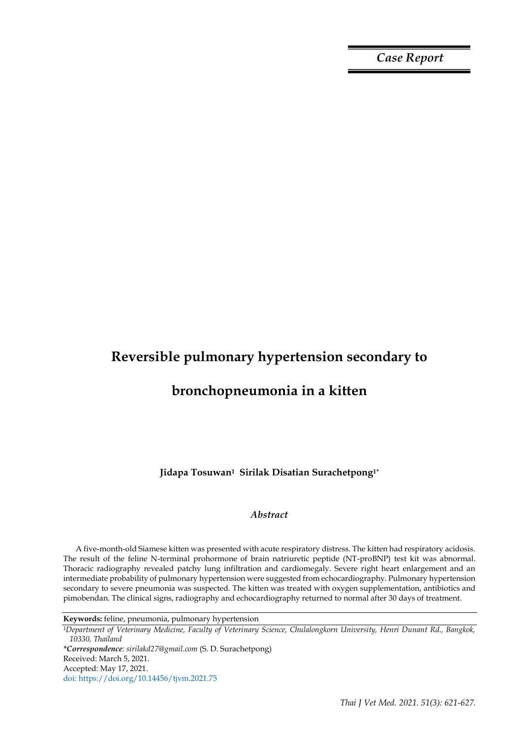*Case Report*

# **Reversible pulmonary hypertension secondary to**

## **bronchopneumonia in a kitten**

**Jidapa Tosuwan1 Sirilak Disatian Surachetpong1\***

### *Abstract*

A five-month-old Siamese kitten was presented with acute respiratory distress. The kitten had respiratory acidosis. The result of the feline N-terminal prohormone of brain natriuretic peptide (NT-proBNP) test kit was abnormal. Thoracic radiography revealed patchy lung infiltration and cardiomegaly. Severe right heart enlargement and an intermediate probability of pulmonary hypertension were suggested from echocardiography. Pulmonary hypertension secondary to severe pneumonia was suspected. The kitten was treated with oxygen supplementation, antibiotics and pimobendan. The clinical signs, radiography and echocardiography returned to normal after 30 days of treatment.

**Keywords:** feline, pneumonia, pulmonary hypertension

*<sup>1</sup>Department of Veterinary Medicine, Faculty of Veterinary Science, Chulalongkorn University, Henri Dunant Rd., Bangkok, 10330, Thailand*

*\*Correspondence: sirilakd27@gmail.com* (S. D. Surachetpong)

doi: https://doi.org/10.14456/tjvm.2021.75

Received: March 5, 2021.

Accepted: May 17, 2021.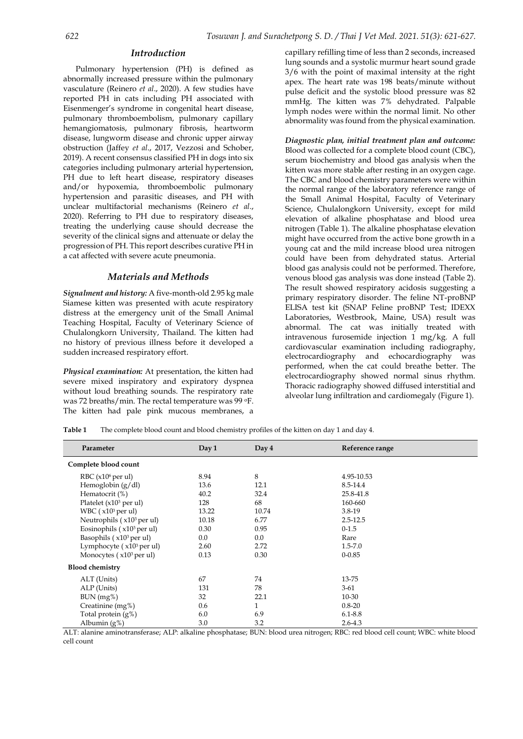#### *Introduction*

Pulmonary hypertension (PH) is defined as abnormally increased pressure within the pulmonary vasculature (Reinero *et al*., 2020). A few studies have reported PH in cats including PH associated with Eisenmenger's syndrome in congenital heart disease, pulmonary thromboembolism, pulmonary capillary hemangiomatosis, pulmonary fibrosis, heartworm disease, lungworm disease and chronic upper airway obstruction (Jaffey *et al*., 2017, Vezzosi and Schober, 2019). A recent consensus classified PH in dogs into six categories including pulmonary arterial hypertension, PH due to left heart disease, respiratory diseases and/or hypoxemia, thromboembolic pulmonary hypertension and parasitic diseases, and PH with unclear multifactorial mechanisms (Reinero *et al*., 2020). Referring to PH due to respiratory diseases, treating the underlying cause should decrease the severity of the clinical signs and attenuate or delay the progression of PH. This report describes curative PH in a cat affected with severe acute pneumonia.

#### *Materials and Methods*

*Signalment and history:* A five-month-old 2.95 kg male Siamese kitten was presented with acute respiratory distress at the emergency unit of the Small Animal Teaching Hospital, Faculty of Veterinary Science of Chulalongkorn University, Thailand. The kitten had no history of previous illness before it developed a sudden increased respiratory effort.

*Physical examination:* At presentation, the kitten had severe mixed inspiratory and expiratory dyspnea without loud breathing sounds. The respiratory rate was 72 breaths/min. The rectal temperature was 99 oF. The kitten had pale pink mucous membranes, a

capillary refilling time of less than 2 seconds, increased lung sounds and a systolic murmur heart sound grade 3/6 with the point of maximal intensity at the right apex. The heart rate was 198 beats/minute without pulse deficit and the systolic blood pressure was 82 mmHg. The kitten was 7% dehydrated. Palpable lymph nodes were within the normal limit. No other abnormality was found from the physical examination.

*Diagnostic plan, initial treatment plan and outcome:* Blood was collected for a complete blood count (CBC), serum biochemistry and blood gas analysis when the kitten was more stable after resting in an oxygen cage. The CBC and blood chemistry parameters were within the normal range of the laboratory reference range of the Small Animal Hospital, Faculty of Veterinary Science, Chulalongkorn University, except for mild elevation of alkaline phosphatase and blood urea nitrogen (Table 1). The alkaline phosphatase elevation might have occurred from the active bone growth in a young cat and the mild increase blood urea nitrogen could have been from dehydrated status. Arterial blood gas analysis could not be performed. Therefore, venous blood gas analysis was done instead (Table 2). The result showed respiratory acidosis suggesting a primary respiratory disorder. The feline NT-proBNP ELISA test kit (SNAP Feline proBNP Test; IDEXX Laboratories, Westbrook, Maine, USA) result was abnormal. The cat was initially treated with intravenous furosemide injection 1 mg/kg. A full cardiovascular examination including radiography, electrocardiography and echocardiography was performed, when the cat could breathe better. The electrocardiography showed normal sinus rhythm. Thoracic radiography showed diffused interstitial and alveolar lung infiltration and cardiomegaly (Figure 1).

| Table 1 | The complete blood count and blood chemistry profiles of the kitten on day 1 and day 4. |  |  |  |  |  |  |
|---------|-----------------------------------------------------------------------------------------|--|--|--|--|--|--|
|---------|-----------------------------------------------------------------------------------------|--|--|--|--|--|--|

| Parameter                     | Day 1   | Day 4 | Reference range |  |  |  |
|-------------------------------|---------|-------|-----------------|--|--|--|
| Complete blood count          |         |       |                 |  |  |  |
| RBC (x10 <sup>6</sup> per ul) | 8.94    | 8     | 4.95-10.53      |  |  |  |
| Hemoglobin $(g/dl)$           | 13.6    | 12.1  | 8.5-14.4        |  |  |  |
| Hematocrit (%)                | 40.2    | 32.4  | 25.8-41.8       |  |  |  |
| Platelet $(x10^3$ per ul)     | 128     | 68    | 160-660         |  |  |  |
| WBC $(x10^3$ per ul)          | 13.22   | 10.74 | 3.8-19          |  |  |  |
| Neutrophils (x103 per ul)     | 10.18   | 6.77  | $2.5 - 12.5$    |  |  |  |
| Eosinophils $(x10^3$ per ul)  | 0.30    | 0.95  | $0-1.5$         |  |  |  |
| Basophils $(x103$ per ul)     | $0.0\,$ | 0.0   | Rare            |  |  |  |
| Lymphocyte $(x10^3$ per ul)   | 2.60    | 2.72  | $1.5 - 7.0$     |  |  |  |
| Monocytes $(x103$ per ul)     | 0.13    | 0.30  | $0 - 0.85$      |  |  |  |
| <b>Blood chemistry</b>        |         |       |                 |  |  |  |
| ALT (Units)                   | 67      | 74    | 13-75           |  |  |  |
| ALP (Units)                   | 131     | 78    | $3-61$          |  |  |  |
| BUN (mg%)                     | 32      | 22.1  | 10-30           |  |  |  |
| Creatinine (mg%)              | 0.6     | 1     | $0.8 - 20$      |  |  |  |
| Total protein (g%)            | 6.0     | 6.9   | $6.1 - 8.8$     |  |  |  |
| Albumin (g%)                  | 3.0     | 3.2   | $2.6 - 4.3$     |  |  |  |

ALT: alanine aminotransferase; ALP: alkaline phosphatase; BUN: blood urea nitrogen; RBC: red blood cell count; WBC: white blood cell count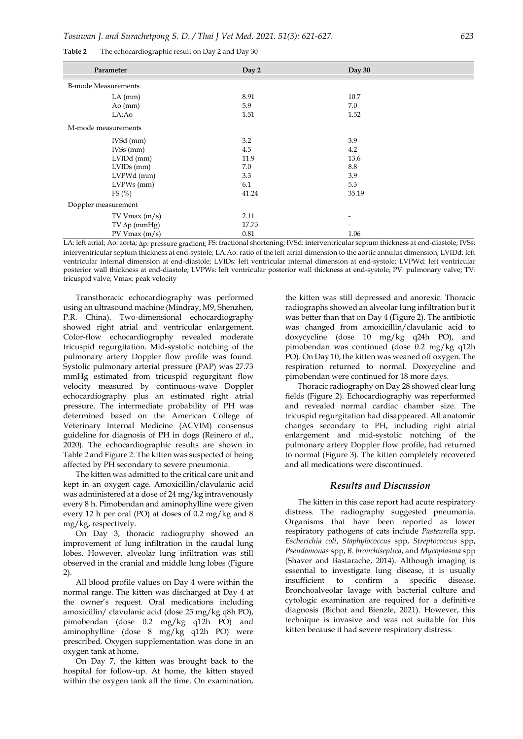| Parameter                  | Day 2 | Day 30                   |  |  |  |
|----------------------------|-------|--------------------------|--|--|--|
| <b>B-mode Measurements</b> |       |                          |  |  |  |
| $LA$ (mm)                  | 8.91  | 10.7                     |  |  |  |
| $A\sigma$ (mm)             | 5.9   | 7.0                      |  |  |  |
| LA:Ao                      | 1.51  | 1.52                     |  |  |  |
| M-mode measurements        |       |                          |  |  |  |
| IVSd (mm)                  | 3.2   | 3.9                      |  |  |  |
| IVSS(mm)                   | 4.5   | 4.2                      |  |  |  |
| LVIDd (mm)                 | 11.9  | 13.6                     |  |  |  |
| $LVIDs$ (mm)               | 7.0   | 8.8                      |  |  |  |
| LVPWd (mm)                 | 3.3   | 3.9                      |  |  |  |
| LVPWs (mm)                 | 6.1   | 5.3                      |  |  |  |
| FS(%)                      | 41.24 | 35.19                    |  |  |  |
| Doppler measurement        |       |                          |  |  |  |
| TV Vmax(m/s)               | 2.11  | $\overline{\phantom{a}}$ |  |  |  |
| $TV \Delta p$ (mmHg)       | 17.73 |                          |  |  |  |
| PV Vmax(m/s)               | 0.81  | 1.06                     |  |  |  |

**Table 2** The echocardiographic result on Day 2 and Day 30

LA: left atrial; Ao: aorta; Ap: pressure gradient; FS: fractional shortening; IVSd: interventricular septum thickness at end-diastole; IVSs: interventricular septum thickness at end-systole; LA:Ao: ratio of the left atrial dimension to the aortic annulus dimension; LVIDd: left ventricular internal dimension at end-diastole; LVIDs: left ventricular internal dimension at end-systole; LVPWd: left ventricular posterior wall thickness at end-diastole; LVPWs: left ventricular posterior wall thickness at end-systole; PV: pulmonary valve; TV: tricuspid valve; Vmax: peak velocity

Transthoracic echocardiography was performed using an ultrasound machine (Mindray, M9, Shenzhen, P.R. China). Two-dimensional echocardiography showed right atrial and ventricular enlargement. Color-flow echocardiography revealed moderate tricuspid regurgitation. Mid-systolic notching of the pulmonary artery Doppler flow profile was found. Systolic pulmonary arterial pressure (PAP) was 27.73 mmHg estimated from tricuspid regurgitant flow velocity measured by continuous-wave Doppler echocardiography plus an estimated right atrial pressure. The intermediate probability of PH was determined based on the American College of Veterinary Internal Medicine (ACVIM) consensus guideline for diagnosis of PH in dogs (Reinero *et al*., 2020). The echocardiographic results are shown in Table 2 and Figure 2. The kitten was suspected of being affected by PH secondary to severe pneumonia.

The kitten was admitted to the critical care unit and kept in an oxygen cage. Amoxicillin/clavulanic acid was administered at a dose of 24 mg/kg intravenously every 8 h. Pimobendan and aminophylline were given every 12 h per oral (PO) at doses of 0.2 mg/kg and 8 mg/kg, respectively.

On Day 3, thoracic radiography showed an improvement of lung infiltration in the caudal lung lobes. However, alveolar lung infiltration was still observed in the cranial and middle lung lobes (Figure 2).

All blood profile values on Day 4 were within the normal range. The kitten was discharged at Day 4 at the owner's request. Oral medications including amoxicillin/ clavulanic acid (dose 25 mg/kg q8h PO), pimobendan (dose 0.2 mg/kg q12h PO) and aminophylline (dose 8 mg/kg q12h PO) were prescribed. Oxygen supplementation was done in an oxygen tank at home.

On Day 7, the kitten was brought back to the hospital for follow-up. At home, the kitten stayed within the oxygen tank all the time. On examination,

the kitten was still depressed and anorexic. Thoracic radiographs showed an alveolar lung infiltration but it was better than that on Day 4 (Figure 2). The antibiotic was changed from amoxicillin/clavulanic acid to doxycycline (dose 10 mg/kg q24h PO), and pimobendan was continued (dose 0.2 mg/kg q12h PO). On Day 10, the kitten was weaned off oxygen. The respiration returned to normal. Doxycycline and pimobendan were continued for 18 more days.

Thoracic radiography on Day 28 showed clear lung fields (Figure 2). Echocardiography was reperformed and revealed normal cardiac chamber size. The tricuspid regurgitation had disappeared. All anatomic changes secondary to PH, including right atrial enlargement and mid-systolic notching of the pulmonary artery Doppler flow profile, had returned to normal (Figure 3). The kitten completely recovered and all medications were discontinued.

#### *Results and Discussion*

The kitten in this case report had acute respiratory distress. The radiography suggested pneumonia. Organisms that have been reported as lower respiratory pathogens of cats include *Pasteurell*a spp, *Escherichia coli*, *Staphylococcus* spp, *Streptococcus* spp, *Pseudomonas* spp, *B. bronchiseptica*, and *Mycoplasma* spp (Shaver and Bastarache, 2014). Although imaging is essential to investigate lung disease, it is usually insufficient to confirm a specific disease. Bronchoalveolar lavage with bacterial culture and cytologic examination are required for a definitive diagnosis (Bichot and Bienzle, 2021). However, this technique is invasive and was not suitable for this kitten because it had severe respiratory distress.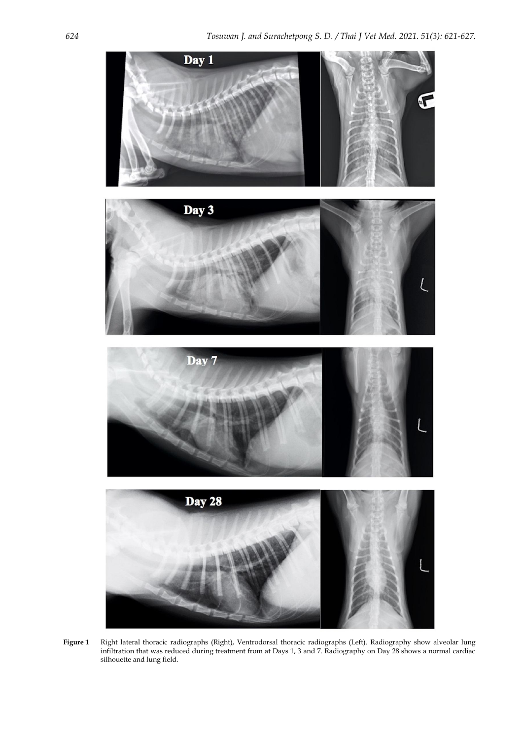

**Figure 1** Right lateral thoracic radiographs (Right), Ventrodorsal thoracic radiographs (Left). Radiography show alveolar lung infiltration that was reduced during treatment from at Days 1, 3 and 7. Radiography on Day 28 shows a normal cardiac silhouette and lung field.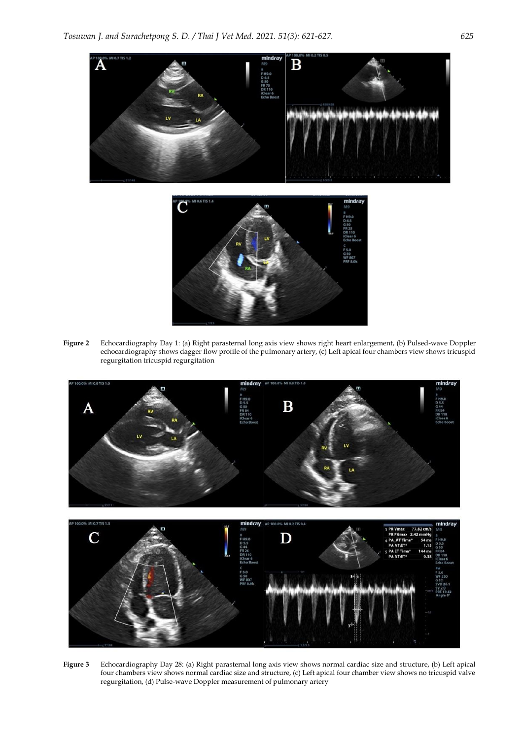

**Figure 2** Echocardiography Day 1: (a) Right parasternal long axis view shows right heart enlargement, (b) Pulsed-wave Doppler echocardiography shows dagger flow profile of the pulmonary artery, (c) Left apical four chambers view shows tricuspid regurgitation tricuspid regurgitation



**Figure 3** Echocardiography Day 28: (a) Right parasternal long axis view shows normal cardiac size and structure, (b) Left apical four chambers view shows normal cardiac size and structure, (c) Left apical four chamber view shows no tricuspid valve regurgitation, (d) Pulse-wave Doppler measurement of pulmonary artery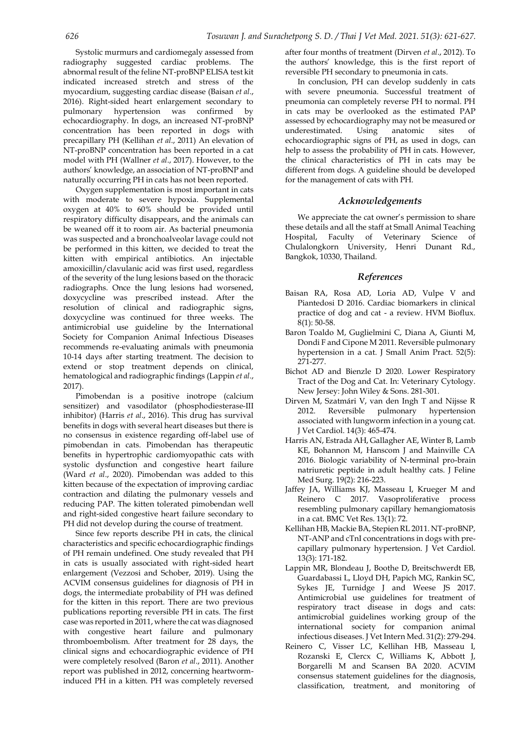Systolic murmurs and cardiomegaly assessed from radiography suggested cardiac problems. The abnormal result of the feline NT-proBNP ELISA test kit indicated increased stretch and stress of the myocardium, suggesting cardiac disease (Baisan *et al*., 2016). Right-sided heart enlargement secondary to pulmonary hypertension was confirmed by echocardiography. In dogs, an increased NT-proBNP concentration has been reported in dogs with precapillary PH (Kellihan *et al*., 2011) An elevation of NT-proBNP concentration has been reported in a cat model with PH (Wallner *et al*., 2017). However, to the authors' knowledge, an association of NT-proBNP and naturally occurring PH in cats has not been reported.

Oxygen supplementation is most important in cats with moderate to severe hypoxia. Supplemental oxygen at 40% to 60% should be provided until respiratory difficulty disappears, and the animals can be weaned off it to room air. As bacterial pneumonia was suspected and a bronchoalveolar lavage could not be performed in this kitten, we decided to treat the kitten with empirical antibiotics. An injectable amoxicillin/clavulanic acid was first used, regardless of the severity of the lung lesions based on the thoracic radiographs. Once the lung lesions had worsened, doxycycline was prescribed instead. After the resolution of clinical and radiographic signs, doxycycline was continued for three weeks. The antimicrobial use guideline by the International Society for Companion Animal Infectious Diseases recommends re-evaluating animals with pneumonia 10-14 days after starting treatment. The decision to extend or stop treatment depends on clinical, hematological and radiographic findings (Lappin *et al*., 2017).

Pimobendan is a positive inotrope (calcium sensitizer) and vasodilator (phosphodiesterase-III inhibitor) (Harris *et al*., 2016). This drug has survival benefits in dogs with several heart diseases but there is no consensus in existence regarding off-label use of pimobendan in cats. Pimobendan has therapeutic benefits in hypertrophic cardiomyopathic cats with systolic dysfunction and congestive heart failure (Ward *et al*., 2020). Pimobendan was added to this kitten because of the expectation of improving cardiac contraction and dilating the pulmonary vessels and reducing PAP. The kitten tolerated pimobendan well and right-sided congestive heart failure secondary to PH did not develop during the course of treatment.

Since few reports describe PH in cats, the clinical characteristics and specific echocardiographic findings of PH remain undefined. One study revealed that PH in cats is usually associated with right-sided heart enlargement (Vezzosi and Schober, 2019). Using the ACVIM consensus guidelines for diagnosis of PH in dogs, the intermediate probability of PH was defined for the kitten in this report. There are two previous publications reporting reversible PH in cats. The first case was reported in 2011, where the cat was diagnosed with congestive heart failure and pulmonary thromboembolism. After treatment for 28 days, the clinical signs and echocardiographic evidence of PH were completely resolved (Baron *et al*., 2011). Another report was published in 2012, concerning heartworminduced PH in a kitten. PH was completely reversed after four months of treatment (Dirven *et al*., 2012). To the authors' knowledge, this is the first report of reversible PH secondary to pneumonia in cats.

In conclusion, PH can develop suddenly in cats with severe pneumonia. Successful treatment of pneumonia can completely reverse PH to normal. PH in cats may be overlooked as the estimated PAP assessed by echocardiography may not be measured or underestimated. Using anatomic sites of echocardiographic signs of PH, as used in dogs, can help to assess the probability of PH in cats. However, the clinical characteristics of PH in cats may be different from dogs. A guideline should be developed for the management of cats with PH.

## *Acknowledgements*

We appreciate the cat owner's permission to share these details and all the staff at Small Animal Teaching Hospital, Faculty of Veterinary Science of Chulalongkorn University, Henri Dunant Rd., Bangkok, 10330, Thailand.

#### *References*

- Baisan RA, Rosa AD, Loria AD, Vulpe V and Piantedosi D 2016. Cardiac biomarkers in clinical practice of dog and cat - a review. HVM Bioflux. 8(1): 50-58.
- Baron Toaldo M, Guglielmini C, Diana A, Giunti M, Dondi F and Cipone M 2011. Reversible pulmonary hypertension in a cat. J Small Anim Pract. 52(5): 271-277.
- Bichot AD and Bienzle D 2020. Lower Respiratory Tract of the Dog and Cat. In: Veterinary Cytology. New Jersey: John Wiley & Sons. 281-301.
- Dirven M, Szatmári V, van den Ingh T and Nijsse R 2012. Reversible pulmonary hypertension associated with lungworm infection in a young cat. J Vet Cardiol. 14(3): 465-474.
- Harris AN, Estrada AH, Gallagher AE, Winter B, Lamb KE, Bohannon M, Hanscom J and Mainville CA 2016. Biologic variability of N-terminal pro-brain natriuretic peptide in adult healthy cats. J Feline Med Surg. 19(2): 216-223.
- Jaffey JA, Williams KJ, Masseau I, Krueger M and Reinero C 2017. Vasoproliferative process resembling pulmonary capillary hemangiomatosis in a cat. BMC Vet Res. 13(1): 72.
- Kellihan HB, Mackie BA, Stepien RL 2011. NT-proBNP, NT-ANP and cTnI concentrations in dogs with precapillary pulmonary hypertension. J Vet Cardiol. 13(3): 171-182.
- Lappin MR, Blondeau J, Boothe D, Breitschwerdt EB, Guardabassi L, Lloyd DH, Papich MG, Rankin SC, Sykes JE, Turnidge J and Weese JS 2017. Antimicrobial use guidelines for treatment of respiratory tract disease in dogs and cats: antimicrobial guidelines working group of the international society for companion animal infectious diseases. J Vet Intern Med. 31(2): 279-294.
- Reinero C, Visser LC, Kellihan HB, Masseau I, Rozanski E, Clercx C, Williams K, Abbott J, Borgarelli M and Scansen BA 2020. ACVIM consensus statement guidelines for the diagnosis, classification, treatment, and monitoring of